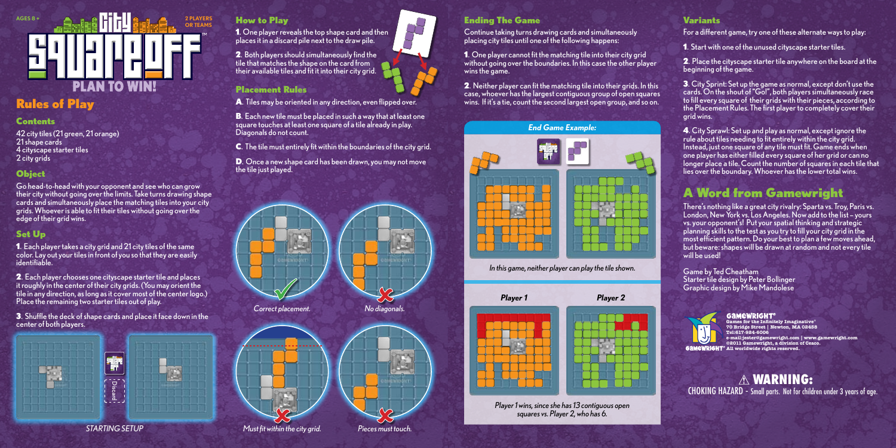

# Rules of Play

## Contents

42 city tiles (21 green, 21 orange) 21 shape cards 4 cityscape starter tiles 2 city grids

# **Object**

Go head-to-head with your opponent and see who can grow their city without going over the limits. Take turns drawing shape cards and simultaneously place the matching tiles into your city grids. Whoever is able to fit their tiles without going over the edge of their arid wins.

# Set Up

1. Each player takes a city grid and 21 city tiles of the same color. Lay out your tiles in front of you so that they are easily identifiable.

2. Each player chooses one cityscape starter tile and places it roughly in the center of their city grids. (You may orient the tile in any direction, as long as it cover most of the center logo.) Place the remaining two starter tiles out of play.

3. Shuffle the deck of shape cards and place it face down in the center of both players.



1. One player reveals the top shape card and then places it in a discard pile next to the draw pile.

2. Both players should simultaneously find the tile that matches the shape on the card from their available tiles and fit it into their city grid.

## Placement Rules

How to Play

A. Tiles may be oriented in any direction, even flipped over.

B. Each new tile must be placed in such a way that at least one square touches at least one square of a tile already in play. Diagonals do not count.

C. The tile must entirely fit within the boundaries of the city grid.

D. Once a new shape card has been drawn, you may not move the tile just played.



## Ending The Game

Continue taking turns drawing cards and simultaneously placing city tiles until one of the following happens:

1. One player cannot fit the matching tile into their city grid without going over the boundaries. In this case the other player wins the game.

2. Neither player can fit the matching tile into their grids. In this case, whoever has the largest contiguous group of open squares wins. If it's a tie, count the second largest open group, and so on.



*In this game, neither player can play the tile shown.*



*squares vs. Player 2, who has 6.*

## Variants

For a different game, try one of these alternate ways to play:

1. Start with one of the unused cityscape starter tiles.

2. Place the cityscape starter tile anywhere on the board at the beginning of the game.

3. City Sprint: Set up the game as normal, except don't use the cards. On the shout of "Go!", both players simultaneously race to fill every square of their grids with their pieces, according to the Placement Rules. The first player to completely cover their grid wins.

4. City Sprawl: Set up and play as normal, except ignore the rule about tiles needing to fit entirely within the city grid. Instead, just one square of any tile must fit. Game ends when one player has either filled every square of her grid or can no longer place a tile. Count the number of squares in each tile that lies over the boundary. Whoever has the lower total wins.

# A Word from Gamewright

There's nothing like a great city rivalry: Sparta vs. Troy, Paris vs. London, New York vs. Los Angeles. Now add to the list – yours vs. your opponent's! Put your spatial thinking and strategic planning skills to the test as you try to fill your city grid in the most efficient pattern. Do your best to plan a few moves ahead, but beware: shapes will be drawn at random and not every tile will be used!

Game by Ted Cheatham Starter tile design by Peter Bollinger Graphic design by Mike Mandolese



**70 Bridge Street | Newton, MA 02458 e-mail:jester@gamewright.com | www.gamewright.com ©2011 Gamewright, a division of Ceaco.**

WARNING: CHOKING HAZARD - Small parts. Not for children under 3 years of age.



*STARTING SETUP Must fit within the city grid. Pieces must touch.*